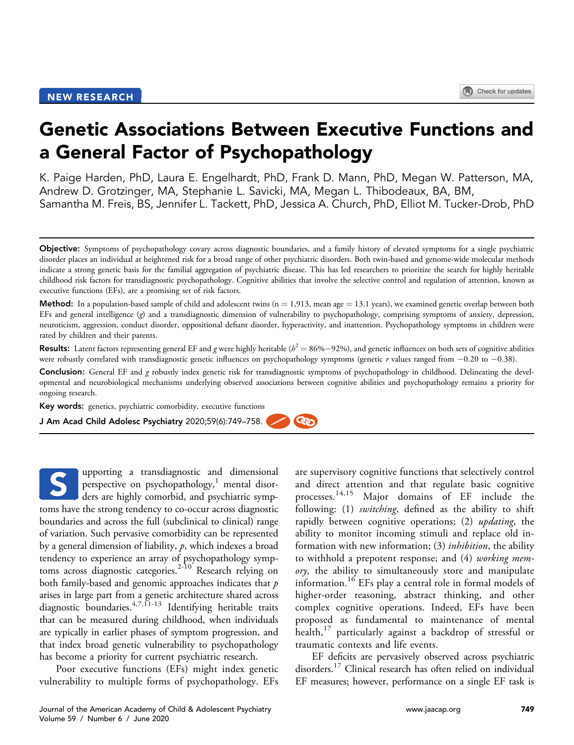# Genetic Associations Between Executive Functions and a General Factor of Psychopathology

K. Paige Harden, PhD, Laura E. Engelhardt, PhD, Frank D. Mann, PhD, Megan W. Patterson, MA, Andrew D. Grotzinger, MA, Stephanie L. Savicki, MA, Megan L. Thibodeaux, BA, BM, Samantha M. Freis, BS, Jennifer L. Tackett, PhD, Jessica A. Church, PhD, Elliot M. Tucker-Drob, PhD

**Method:** In a population-based sample of child and adolescent twins ( $n = 1,913$ , mean age  $= 13.1$  years), we examined genetic overlap between both EFs and general intelligence (g) and a transdiagnostic dimension of vulnerability to psychopathology, comprising symptoms of anxiety, depression, neuroticism, aggression, conduct disorder, oppositional defiant disorder, hyperactivity, and inattention. Psychopathology symptoms in children were rated by children and their parents.

**Results:** Latent factors representing general EF and g were highly heritable ( $h^2 = 86\% - 92\%$ ), and genetic influences on both sets of cognitive abilities were robustly correlated with transdiagnostic genetic influences on psychopathology symptoms (genetic  $r$  values ranged from  $-0.20$  to  $-0.38$ ).

Conclusion: General EF and g robustly index genetic risk for transdiagnostic symptoms of psychopathology in childhood. Delineating the developmental and neurobiological mechanisms underlying observed associations between cognitive abilities and psychopathology remains a priority for ongoing research.

**Rep** 

Key words: genetics, psychiatric comorbidity, executive functions

J Am Acad Child Adolesc Psychiatry 2020;59(6):749–758.

upporting a transdiagnostic and dimensional perspective on psychopathology, $\frac{1}{1}$  mental disorders are highly comorbid, and psychiatric symptoms have the strong tendency to co-occur across diagnostic boundaries and across the full (subclinical to clinical) range of variation. Such pervasive comorbidity can be represented by a general dimension of liability,  $p$ , which indexes a broad tendency to experience an array of psychopathology symp-toms across diagnostic categories.<sup>[2-10](#page-8-1)</sup> Research relying on both family-based and genomic approaches indicates that  $p$ arises in large part from a genetic architecture shared across diagnostic boundaries.[4,7,11-13](#page-8-2) Identifying heritable traits that can be measured during childhood, when individuals are typically in earlier phases of symptom progression, and that index broad genetic vulnerability to psychopathology has become a priority for current psychiatric research. S

Poor executive functions (EFs) might index genetic vulnerability to multiple forms of psychopathology. EFs are supervisory cognitive functions that selectively control and direct attention and that regulate basic cognitive processes.[14,15](#page-8-3) Major domains of EF include the following: (1) *switching*, defined as the ability to shift rapidly between cognitive operations; (2) *updating*, the ability to monitor incoming stimuli and replace old information with new information; (3) *inhibition*, the ability to withhold a prepotent response; and (4) working memory, the ability to simultaneously store and manipulate information.[16](#page-9-0) EFs play a central role in formal models of higher-order reasoning, abstract thinking, and other complex cognitive operations. Indeed, EFs have been proposed as fundamental to maintenance of mental health, $17$  particularly against a backdrop of stressful or traumatic contexts and life events.

EF deficits are pervasively observed across psychiatric disorders.<sup>[17](#page-9-1)</sup> Clinical research has often relied on individual EF measures; however, performance on a single EF task is

Objective: Symptoms of psychopathology covary across diagnostic boundaries, and a family history of elevated symptoms for a single psychiatric disorder places an individual at heightened risk for a broad range of other psychiatric disorders. Both twin-based and genome-wide molecular methods indicate a strong genetic basis for the familial aggregation of psychiatric disease. This has led researchers to prioritize the search for highly heritable childhood risk factors for transdiagnostic psychopathology. Cognitive abilities that involve the selective control and regulation of attention, known as executive functions (EFs), are a promising set of risk factors.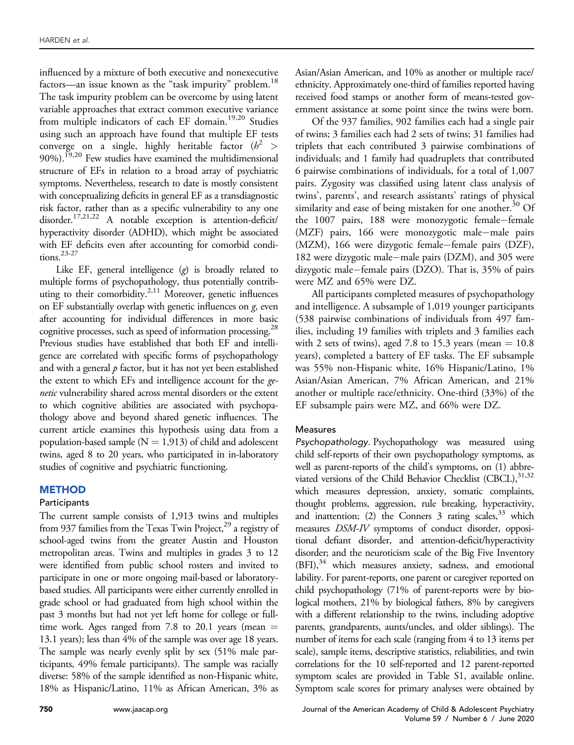influenced by a mixture of both executive and nonexecutive factors—an issue known as the "task impurity" problem.<sup>18</sup> The task impurity problem can be overcome by using latent variable approaches that extract common executive variance from multiple indicators of each EF domain.<sup>[19,20](#page-9-3)</sup> Studies using such an approach have found that multiple EF tests converge on a single, highly heritable factor  $(h^2 >$ 90%).<sup>[19,20](#page-9-3)</sup> Few studies have examined the multidimensional structure of EFs in relation to a broad array of psychiatric symptoms. Nevertheless, research to date is mostly consistent with conceptualizing deficits in general EF as a transdiagnostic risk factor, rather than as a specific vulnerability to any one disorder.[17,21,22](#page-9-1) A notable exception is attention-deficit/ hyperactivity disorder (ADHD), which might be associated with EF deficits even after accounting for comorbid conditions.[23-27](#page-9-4)

Like EF, general intelligence  $(g)$  is broadly related to multiple forms of psychopathology, thus potentially contrib-uting to their comorbidity.<sup>[2,11](#page-8-1)</sup> Moreover, genetic influences on EF substantially overlap with genetic influences on  $g$ , even after accounting for individual differences in more basic cognitive processes, such as speed of information processing.<sup>28</sup> Previous studies have established that both EF and intelligence are correlated with specific forms of psychopathology and with a general  $p$  factor, but it has not yet been established the extent to which EFs and intelligence account for the genetic vulnerability shared across mental disorders or the extent to which cognitive abilities are associated with psychopathology above and beyond shared genetic influences. The current article examines this hypothesis using data from a population-based sample ( $N = 1,913$ ) of child and adolescent twins, aged 8 to 20 years, who participated in in-laboratory studies of cognitive and psychiatric functioning.

## **METHOD**

## **Participants**

The current sample consists of 1,913 twins and multiples from 937 families from the Texas Twin Project,<sup>29</sup> a registry of school-aged twins from the greater Austin and Houston metropolitan areas. Twins and multiples in grades 3 to 12 were identified from public school rosters and invited to participate in one or more ongoing mail-based or laboratorybased studies. All participants were either currently enrolled in grade school or had graduated from high school within the past 3 months but had not yet left home for college or fulltime work. Ages ranged from 7.8 to 20.1 years (mean  $=$ 13.1 years); less than 4% of the sample was over age 18 years. The sample was nearly evenly split by sex (51% male participants, 49% female participants). The sample was racially diverse: 58% of the sample identified as non-Hispanic white, 18% as Hispanic/Latino, 11% as African American, 3% as

Asian/Asian American, and 10% as another or multiple race/ ethnicity. Approximately one-third of families reported having received food stamps or another form of means-tested government assistance at some point since the twins were born.

Of the 937 families, 902 families each had a single pair of twins; 3 families each had 2 sets of twins; 31 families had triplets that each contributed 3 pairwise combinations of individuals; and 1 family had quadruplets that contributed 6 pairwise combinations of individuals, for a total of 1,007 pairs. Zygosity was classified using latent class analysis of twins', parents', and research assistants' ratings of physical similarity and ease of being mistaken for one another. $30$  Of the 1007 pairs, 188 were monozygotic female-female (MZF) pairs, 166 were monozygotic male-male pairs (MZM), 166 were dizygotic female-female pairs (DZF), 182 were dizygotic male-male pairs (DZM), and 305 were dizygotic male-female pairs (DZO). That is, 35% of pairs were MZ and 65% were DZ.

All participants completed measures of psychopathology and intelligence. A subsample of 1,019 younger participants (538 pairwise combinations of individuals from 497 families, including 19 families with triplets and 3 families each with 2 sets of twins), aged 7.8 to 15.3 years (mean  $= 10.8$ ) years), completed a battery of EF tasks. The EF subsample was 55% non-Hispanic white, 16% Hispanic/Latino, 1% Asian/Asian American, 7% African American, and 21% another or multiple race/ethnicity. One-third (33%) of the EF subsample pairs were MZ, and 66% were DZ.

## Measures

Psychopathology. Psychopathology was measured using child self-reports of their own psychopathology symptoms, as well as parent-reports of the child's symptoms, on (1) abbreviated versions of the Child Behavior Checklist (CBCL), 31,32 which measures depression, anxiety, somatic complaints, thought problems, aggression, rule breaking, hyperactivity, and inattention; (2) the Conners  $3$  rating scales,  $33$  which measures DSM-IV symptoms of conduct disorder, oppositional defiant disorder, and attention-deficit/hyperactivity disorder; and the neuroticism scale of the Big Five Inventory  $(BFI)$ ,<sup>34</sup> which measures anxiety, sadness, and emotional lability. For parent-reports, one parent or caregiver reported on child psychopathology (71% of parent-reports were by biological mothers, 21% by biological fathers, 8% by caregivers with a different relationship to the twins, including adoptive parents, grandparents, aunts/uncles, and older siblings). The number of items for each scale (ranging from 4 to 13 items per scale), sample items, descriptive statistics, reliabilities, and twin correlations for the 10 self-reported and 12 parent-reported symptom scales are provided in Table S1, available online. Symptom scale scores for primary analyses were obtained by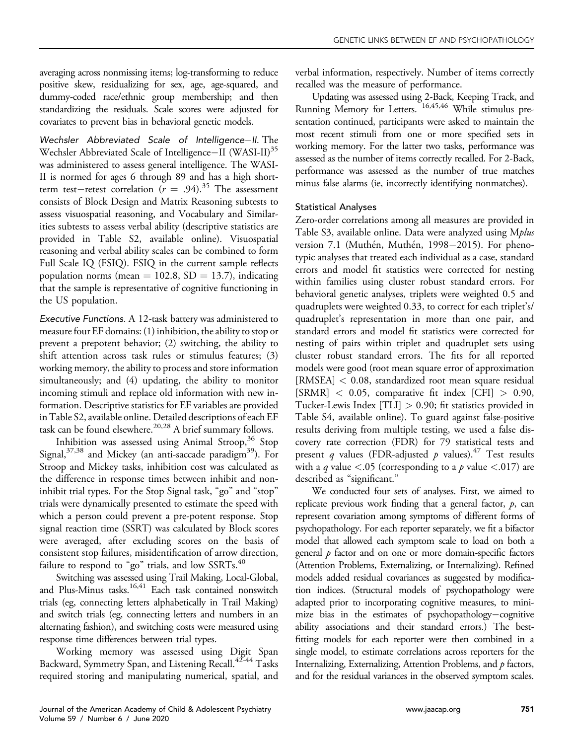averaging across nonmissing items; log-transforming to reduce positive skew, residualizing for sex, age, age-squared, and dummy-coded race/ethnic group membership; and then standardizing the residuals. Scale scores were adjusted for covariates to prevent bias in behavioral genetic models.

Wechsler Abbreviated Scale of Intelligence-II. The Wechsler Abbreviated Scale of Intelligence-II (WASI-II)<sup>35</sup> was administered to assess general intelligence. The WASI-II is normed for ages 6 through 89 and has a high shortterm test-retest correlation ( $r = .94$ ).<sup>35</sup> The assessment consists of Block Design and Matrix Reasoning subtests to assess visuospatial reasoning, and Vocabulary and Similarities subtests to assess verbal ability (descriptive statistics are provided in Table S2, available online). Visuospatial reasoning and verbal ability scales can be combined to form Full Scale IQ (FSIQ). FSIQ in the current sample reflects population norms (mean  $= 102.8$ , SD  $= 13.7$ ), indicating that the sample is representative of cognitive functioning in the US population.

Executive Functions. A 12-task battery was administered to measure four EF domains: (1) inhibition, the ability to stop or prevent a prepotent behavior; (2) switching, the ability to shift attention across task rules or stimulus features; (3) working memory, the ability to process and store information simultaneously; and (4) updating, the ability to monitor incoming stimuli and replace old information with new information. Descriptive statistics for EF variables are provided in Table S2, available online. Detailed descriptions of each EF task can be found elsewhere.<sup>[20,28](#page-9-12)</sup> A brief summary follows.

Inhibition was assessed using Animal Stroop,  $36$  Stop Signal, $37,38$  and Mickey (an anti-saccade paradigm<sup>39</sup>). For Stroop and Mickey tasks, inhibition cost was calculated as the difference in response times between inhibit and noninhibit trial types. For the Stop Signal task, "go" and "stop" trials were dynamically presented to estimate the speed with which a person could prevent a pre-potent response. Stop signal reaction time (SSRT) was calculated by Block scores were averaged, after excluding scores on the basis of consistent stop failures, misidentification of arrow direction, failure to respond to "go" trials, and low SSRTs.<sup>[40](#page-9-16)</sup>

Switching was assessed using Trail Making, Local-Global, and Plus-Minus tasks. $16,41$  Each task contained nonswitch trials (eg, connecting letters alphabetically in Trail Making) and switch trials (eg, connecting letters and numbers in an alternating fashion), and switching costs were measured using response time differences between trial types.

Working memory was assessed using Digit Span Backward, Symmetry Span, and Listening Recall.<sup>[42-44](#page-9-17)</sup> Tasks required storing and manipulating numerical, spatial, and verbal information, respectively. Number of items correctly recalled was the measure of performance.

Updating was assessed using 2-Back, Keeping Track, and Running Memory for Letters. [16,45,46](#page-9-0) While stimulus presentation continued, participants were asked to maintain the most recent stimuli from one or more specified sets in working memory. For the latter two tasks, performance was assessed as the number of items correctly recalled. For 2-Back, performance was assessed as the number of true matches minus false alarms (ie, incorrectly identifying nonmatches).

## Statistical Analyses

Zero-order correlations among all measures are provided in Table S3, available online. Data were analyzed using M*plus* version 7.1 (Muthén, Muthén, 1998–2015). For phenotypic analyses that treated each individual as a case, standard errors and model fit statistics were corrected for nesting within families using cluster robust standard errors. For behavioral genetic analyses, triplets were weighted 0.5 and quadruplets were weighted 0.33, to correct for each triplet's/ quadruplet's representation in more than one pair, and standard errors and model fit statistics were corrected for nesting of pairs within triplet and quadruplet sets using cluster robust standard errors. The fits for all reported models were good (root mean square error of approximation [RMSEA] < 0.08, standardized root mean square residual  $[\text{SRMR}]$  < 0.05, comparative fit index  $[\text{CFI}] > 0.90$ , Tucker-Lewis Index [TLI] > 0.90; fit statistics provided in Table S4, available online). To guard against false-positive results deriving from multiple testing, we used a false discovery rate correction (FDR) for 79 statistical tests and present q values (FDR-adjusted  $p$  values).<sup>[47](#page-9-18)</sup> Test results with a q value  $\langle .05 \rangle$  (corresponding to a p value  $\langle .017 \rangle$  are described as "significant."

We conducted four sets of analyses. First, we aimed to replicate previous work finding that a general factor,  $p$ , can represent covariation among symptoms of different forms of psychopathology. For each reporter separately, we fit a bifactor model that allowed each symptom scale to load on both a general  $p$  factor and on one or more domain-specific factors (Attention Problems, Externalizing, or Internalizing). Refined models added residual covariances as suggested by modification indices. (Structural models of psychopathology were adapted prior to incorporating cognitive measures, to minimize bias in the estimates of psychopathology-cognitive ability associations and their standard errors.) The bestfitting models for each reporter were then combined in a single model, to estimate correlations across reporters for the Internalizing, Externalizing, Attention Problems, and p factors, and for the residual variances in the observed symptom scales.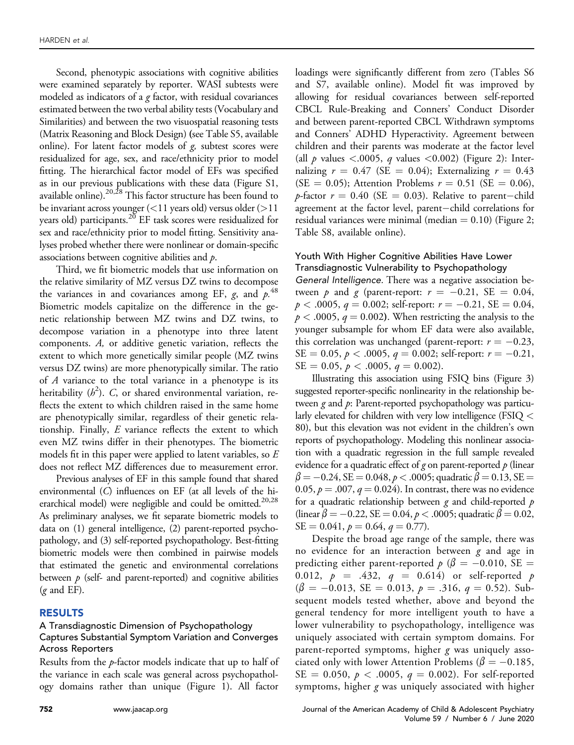Second, phenotypic associations with cognitive abilities were examined separately by reporter. WASI subtests were modeled as indicators of a  $g$  factor, with residual covariances estimated between the two verbal ability tests (Vocabulary and Similarities) and between the two visuospatial reasoning tests (Matrix Reasoning and Block Design) (see Table S5, available online). For latent factor models of  $g$ , subtest scores were residualized for age, sex, and race/ethnicity prior to model fitting. The hierarchical factor model of EFs was specified as in our previous publications with these data (Figure S1, available online).<sup>[20,28](#page-9-12)</sup> This factor structure has been found to be invariant across younger (<11 years old) versus older (>11 years old) participants.<sup>[20](#page-9-12)</sup> EF task scores were residualized for sex and race/ethnicity prior to model fitting. Sensitivity analyses probed whether there were nonlinear or domain-specific associations between cognitive abilities and p.

Third, we fit biometric models that use information on the relative similarity of MZ versus DZ twins to decompose the variances in and covariances among EF,  $g$ , and  $p$ .<sup>[48](#page-9-19)</sup> Biometric models capitalize on the difference in the genetic relationship between MZ twins and DZ twins, to decompose variation in a phenotype into three latent components. A, or additive genetic variation, reflects the extent to which more genetically similar people (MZ twins versus DZ twins) are more phenotypically similar. The ratio of A variance to the total variance in a phenotype is its heritability  $(h^2)$ . C, or shared environmental variation, reflects the extent to which children raised in the same home are phenotypically similar, regardless of their genetic relationship. Finally,  $E$  variance reflects the extent to which even MZ twins differ in their phenotypes. The biometric models fit in this paper were applied to latent variables, so E does not reflect MZ differences due to measurement error.

Previous analyses of EF in this sample found that shared environmental (C) influences on EF (at all levels of the hi-erarchical model) were negligible and could be omitted.<sup>[20,28](#page-9-12)</sup> As preliminary analyses, we fit separate biometric models to data on (1) general intelligence, (2) parent-reported psychopathology, and (3) self-reported psychopathology. Best-fitting biometric models were then combined in pairwise models that estimated the genetic and environmental correlations between  $p$  (self- and parent-reported) and cognitive abilities  $(g \text{ and } EF)$ .

#### RESULTS

#### A Transdiagnostic Dimension of Psychopathology Captures Substantial Symptom Variation and Converges Across Reporters

Results from the p-factor models indicate that up to half of the variance in each scale was general across psychopathology domains rather than unique [\(Figure 1](#page-4-0)). All factor

loadings were significantly different from zero (Tables S6 and S7, available online). Model fit was improved by allowing for residual covariances between self-reported CBCL Rule-Breaking and Conners' Conduct Disorder and between parent-reported CBCL Withdrawn symptoms and Conners' ADHD Hyperactivity. Agreement between children and their parents was moderate at the factor level (all  $p$  values <.0005,  $q$  values <0.002) [\(Figure 2\)](#page-5-0): Internalizing  $r = 0.47$  (SE = 0.04); Externalizing  $r = 0.43$ (SE = 0.05); Attention Problems  $r = 0.51$  (SE = 0.06), *p*-factor  $r = 0.40$  (SE = 0.03). Relative to parent–child agreement at the factor level, parent-child correlations for residual variances were minimal (median  $= 0.10$ ) ([Figure 2;](#page-5-0) Table S8, available online).

### Youth With Higher Cognitive Abilities Have Lower Transdiagnostic Vulnerability to Psychopathology

General Intelligence. There was a negative association between p and g (parent-report:  $r = -0.21$ , SE = 0.04,  $p < .0005$ ,  $q = 0.002$ ; self-report:  $r = -0.21$ , SE = 0.04,  $p < .0005$ ,  $q = 0.002$ ). When restricting the analysis to the younger subsample for whom EF data were also available, this correlation was unchanged (parent-report:  $r = -0.23$ ,  $SE = 0.05, p < .0005, q = 0.002$ ; self-report:  $r = -0.21$ ,  $SE = 0.05$ ,  $p < .0005$ ,  $q = 0.002$ ).

Illustrating this association using FSIQ bins [\(Figure 3](#page-5-1)) suggested reporter-specific nonlinearity in the relationship between  $g$  and  $p$ : Parent-reported psychopathology was particularly elevated for children with very low intelligence (FSIQ < 80), but this elevation was not evident in the children's own reports of psychopathology. Modeling this nonlinear association with a quadratic regression in the full sample revealed evidence for a quadratic effect of g on parent-reported  $p$  (linear  $\beta\!=\!-0.24$ , SE  $=0.048$ ,  $p$   $<$  .0005; quadratic  $\beta\!=\!0.13$ , SE  $=$ 0.05,  $p = .007$ ,  $q = 0.024$ ). In contrast, there was no evidence for a quadratic relationship between  $g$  and child-reported  $p$ (linear  $\beta = -0.22$ , SE = 0.04,  $p < .0005$ ; quadratic  $\beta = 0.02$ ,  $SE = 0.041$ ,  $p = 0.64$ ,  $q = 0.77$ ).

Despite the broad age range of the sample, there was no evidence for an interaction between  $g$  and age in predicting either parent-reported  $p$  ( $\beta = -0.010$ , SE = 0.012,  $p = .432$ ,  $q = 0.614$  or self-reported p  $(\beta = -0.013, \text{ SE} = 0.013, p = .316, q = 0.52)$ . Subsequent models tested whether, above and beyond the general tendency for more intelligent youth to have a lower vulnerability to psychopathology, intelligence was uniquely associated with certain symptom domains. For parent-reported symptoms, higher  $g$  was uniquely associated only with lower Attention Problems ( $\beta = -0.185$ ,  $SE = 0.050, p < .0005, q = 0.002$ . For self-reported symptoms, higher g was uniquely associated with higher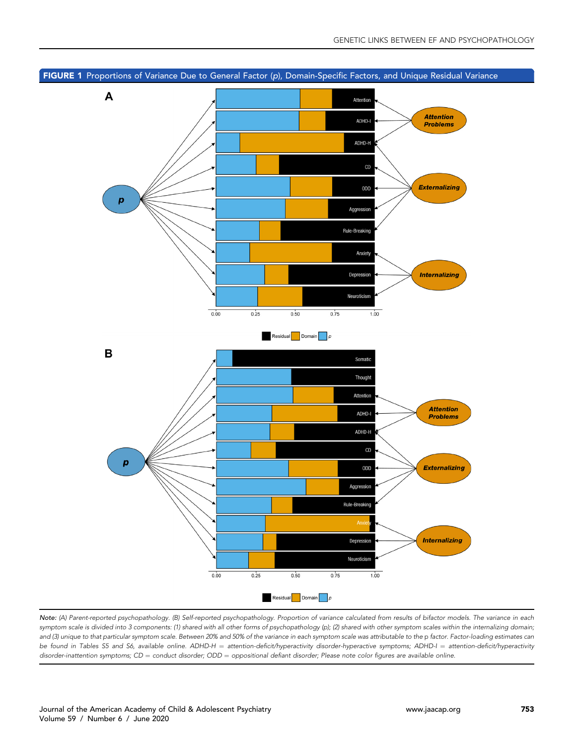<span id="page-4-0"></span>

Note: (A) Parent-reported psychopathology. (B) Self-reported psychopathology. Proportion of variance calculated from results of bifactor models. The variance in each symptom scale is divided into 3 components: (1) shared with all other forms of psychopathology (p); (2) shared with other symptom scales within the internalizing domain; and (3) unique to that particular symptom scale. Between 20% and 50% of the variance in each symptom scale was attributable to the p factor. Factor-loading estimates can be found in Tables S5 and S6, available online. ADHD-H = attention-deficit/hyperactivity disorder-hyperactive symptoms; ADHD-I = attention-deficit/hyperactivity disorder-inattention symptoms;  $CD =$  conduct disorder;  $ODD =$  oppositional defiant disorder; Please note color figures are available online.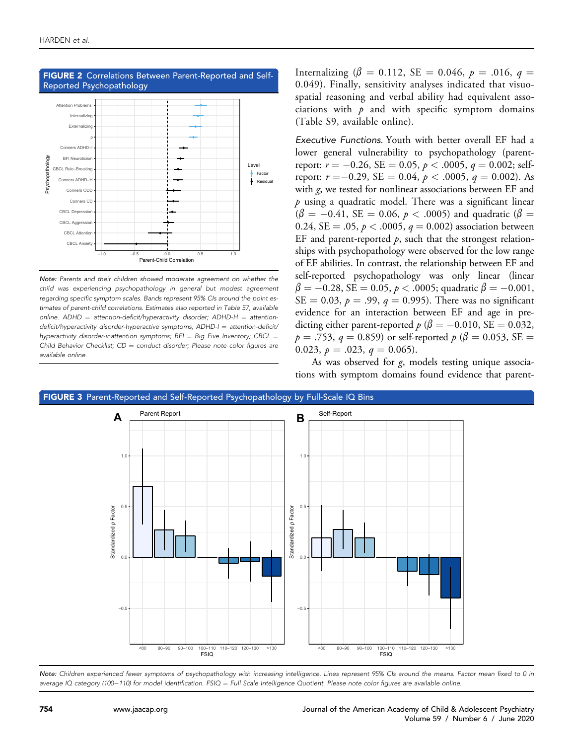

## <span id="page-5-0"></span>FIGURE 2 Correlations Between Parent-Reported and Self-

Note: Parents and their children showed moderate agreement on whether the child was experiencing psychopathology in general but modest agreement regarding specific symptom scales. Bands represent 95% CIs around the point estimates of parent-child correlations. Estimates also reported in Table S7, available online.  $ADHD =$  attention-deficit/hyperactivity disorder;  $ADHD-H =$  attentiondeficit/hyperactivity disorder-hyperactive symptoms; ADHD-I = attention-deficit/ hyperactivity disorder-inattention symptoms;  $BFI = Big Five Inventory; CBCL =$ Child Behavior Checklist;  $CD =$  conduct disorder; Please note color figures are available online.

Internalizing ( $\beta = 0.112$ , SE = 0.046,  $p = .016$ ,  $q =$ 0.049). Finally, sensitivity analyses indicated that visuospatial reasoning and verbal ability had equivalent associations with  $p$  and with specific symptom domains (Table S9, available online).

Executive Functions. Youth with better overall EF had a lower general vulnerability to psychopathology (parentreport:  $r = -0.26$ ,  $SE = 0.05$ ,  $p < .0005$ ,  $q = 0.002$ ; selfreport:  $r = -0.29$ , SE = 0.04,  $p < .0005$ ,  $q = 0.002$ ). As with g, we tested for nonlinear associations between EF and  $p$  using a quadratic model. There was a significant linear  $(\beta = -0.41, \text{ SE} = 0.06, p < .0005)$  and quadratic  $(\beta =$ 0.24, SE = .05,  $p < .0005$ ,  $q = 0.002$ ) association between EF and parent-reported  $p$ , such that the strongest relationships with psychopathology were observed for the low range of EF abilities. In contrast, the relationship between EF and self-reported psychopathology was only linear (linear  $\beta = -0.28$ , SE = 0.05, p < .0005; quadratic  $\beta = -0.001$ ,  $SE = 0.03$ ,  $p = .99$ ,  $q = 0.995$ ). There was no significant evidence for an interaction between EF and age in predicting either parent-reported  $p(\beta = -0.010, \text{SE} = 0.032,$  $p = .753$ ,  $q = 0.859$ ) or self-reported  $p (\beta = 0.053, SE = 1)$ 0.023,  $p = .023$ ,  $q = 0.065$ ).

As was observed for g, models testing unique associations with symptom domains found evidence that parent-

<span id="page-5-1"></span>

Note: Children experienced fewer symptoms of psychopathology with increasing intelligence. Lines represent 95% CIs around the means. Factor mean fixed to 0 in average IQ category (100–110) for model identification. FSIQ = Full Scale Intelligence Quotient. Please note color figures are available online.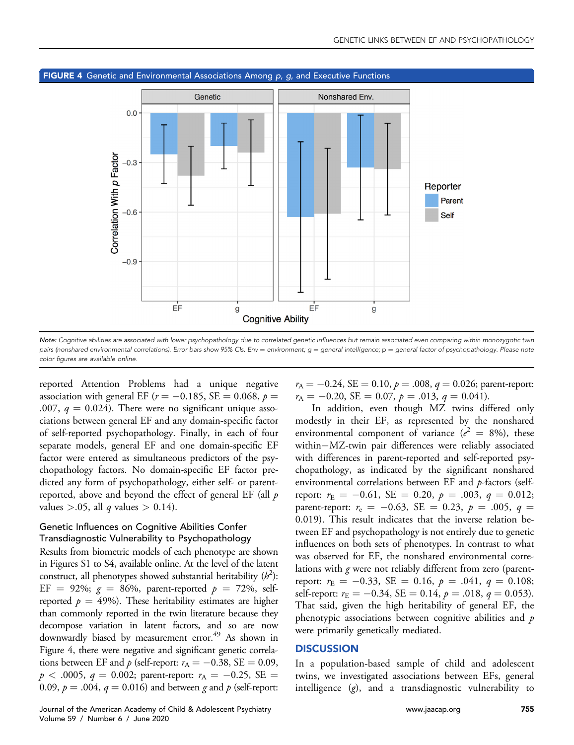

<span id="page-6-0"></span>FIGURE 4 Genetic and Environmental Associations Among p, g, and Executive Functions

Note: Cognitive abilities are associated with lower psychopathology due to correlated genetic influences but remain associated even comparing within monozygotic twin pairs (nonshared environmental correlations). Error bars show 95% CIs. Env = environment;  $g =$  general intelligence;  $p =$  general factor of psychopathology. Please note color figures are available online.

reported Attention Problems had a unique negative association with general EF ( $r = -0.185$ , SE  $= 0.068$ ,  $p =$ .007,  $q = 0.024$ ). There were no significant unique associations between general EF and any domain-specific factor of self-reported psychopathology. Finally, in each of four separate models, general EF and one domain-specific EF factor were entered as simultaneous predictors of the psychopathology factors. No domain-specific EF factor predicted any form of psychopathology, either self- or parentreported, above and beyond the effect of general EF (all  $p$ values >.05, all *q* values > 0.14).

## Genetic Influences on Cognitive Abilities Confer Transdiagnostic Vulnerability to Psychopathology

Results from biometric models of each phenotype are shown in Figures S1 to S4, available online. At the level of the latent construct, all phenotypes showed substantial heritability  $(h^2)$ : EF = 92%;  $g = 86\%$ , parent-reported  $p = 72\%$ , selfreported  $p = 49\%$ ). These heritability estimates are higher than commonly reported in the twin literature because they decompose variation in latent factors, and so are now downwardly biased by measurement error.<sup>49</sup> As shown in [Figure 4](#page-6-0), there were negative and significant genetic correlations between EF and  $p$  (self-report:  $r_A = -0.38$ , SE = 0.09,  $p < .0005, q = 0.002$ ; parent-report:  $r_A = -0.25, SE =$ 0.09,  $p = .004$ ,  $q = 0.016$ ) and between g and p (self-report:  $r_A = -0.24$ , SE = 0.10,  $p = .008$ ,  $q = 0.026$ ; parent-report:  $r_{\rm A} = -0.20$ , SE = 0.07,  $p = .013$ ,  $q = 0.041$ ).

In addition, even though MZ twins differed only modestly in their EF, as represented by the nonshared environmental component of variance ( $e^2 = 8\%$ ), these within-MZ-twin pair differences were reliably associated with differences in parent-reported and self-reported psychopathology, as indicated by the significant nonshared environmental correlations between EF and p-factors (selfreport:  $r_{\rm E} = -0.61$ , SE = 0.20,  $p = .003$ ,  $q = 0.012$ ; parent-report:  $r_e = -0.63$ , SE = 0.23,  $p = .005$ ,  $q =$ 0.019). This result indicates that the inverse relation between EF and psychopathology is not entirely due to genetic influences on both sets of phenotypes. In contrast to what was observed for EF, the nonshared environmental correlations with g were not reliably different from zero (parentreport:  $r_{\rm E} = -0.33$ ,  $\rm SE = 0.16$ ,  $p = .041$ ,  $q = 0.108$ ; self-report:  $r_{\rm E} = -0.34$ , SE = 0.14,  $p = .018$ ,  $q = 0.053$ ). That said, given the high heritability of general EF, the phenotypic associations between cognitive abilities and  $p$ were primarily genetically mediated.

### **DISCUSSION**

In a population-based sample of child and adolescent twins, we investigated associations between EFs, general intelligence (g), and a transdiagnostic vulnerability to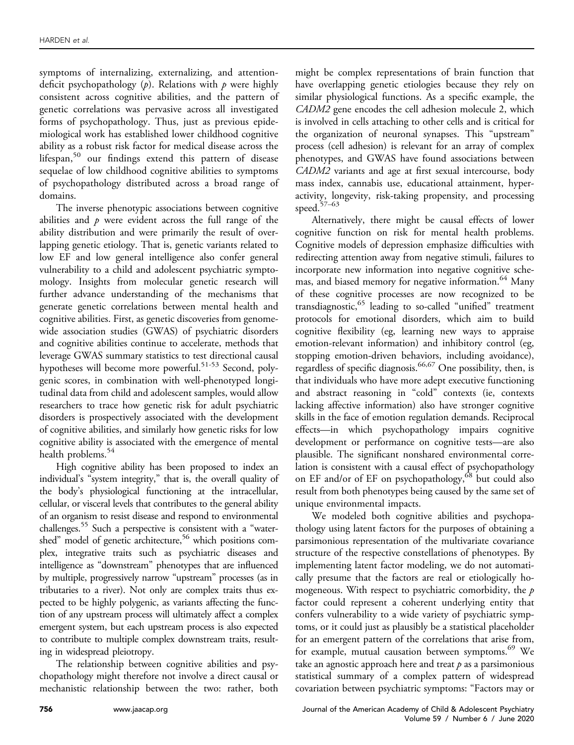symptoms of internalizing, externalizing, and attentiondeficit psychopathology  $(p)$ . Relations with  $p$  were highly consistent across cognitive abilities, and the pattern of genetic correlations was pervasive across all investigated forms of psychopathology. Thus, just as previous epidemiological work has established lower childhood cognitive ability as a robust risk factor for medical disease across the lifespan, $50$  our findings extend this pattern of disease sequelae of low childhood cognitive abilities to symptoms of psychopathology distributed across a broad range of domains.

The inverse phenotypic associations between cognitive abilities and  $\dot{p}$  were evident across the full range of the ability distribution and were primarily the result of overlapping genetic etiology. That is, genetic variants related to low EF and low general intelligence also confer general vulnerability to a child and adolescent psychiatric symptomology. Insights from molecular genetic research will further advance understanding of the mechanisms that generate genetic correlations between mental health and cognitive abilities. First, as genetic discoveries from genomewide association studies (GWAS) of psychiatric disorders and cognitive abilities continue to accelerate, methods that leverage GWAS summary statistics to test directional causal hypotheses will become more powerful.<sup>51-53</sup> Second, polygenic scores, in combination with well-phenotyped longitudinal data from child and adolescent samples, would allow researchers to trace how genetic risk for adult psychiatric disorders is prospectively associated with the development of cognitive abilities, and similarly how genetic risks for low cognitive ability is associated with the emergence of mental health problems.<sup>54</sup>

High cognitive ability has been proposed to index an individual's "system integrity," that is, the overall quality of the body's physiological functioning at the intracellular, cellular, or visceral levels that contributes to the general ability of an organism to resist disease and respond to environmental challenges.<sup>[55](#page-9-24)</sup> Such a perspective is consistent with a "watershed" model of genetic architecture,<sup>56</sup> which positions complex, integrative traits such as psychiatric diseases and intelligence as "downstream" phenotypes that are influenced by multiple, progressively narrow "upstream" processes (as in tributaries to a river). Not only are complex traits thus expected to be highly polygenic, as variants affecting the function of any upstream process will ultimately affect a complex emergent system, but each upstream process is also expected to contribute to multiple complex downstream traits, resulting in widespread pleiotropy.

The relationship between cognitive abilities and psychopathology might therefore not involve a direct causal or mechanistic relationship between the two: rather, both might be complex representations of brain function that have overlapping genetic etiologies because they rely on similar physiological functions. As a specific example, the CADM2 gene encodes the cell adhesion molecule 2, which is involved in cells attaching to other cells and is critical for the organization of neuronal synapses. This "upstream" process (cell adhesion) is relevant for an array of complex phenotypes, and GWAS have found associations between CADM2 variants and age at first sexual intercourse, body mass index, cannabis use, educational attainment, hyperactivity, longevity, risk-taking propensity, and processing speed[.57](#page-9-26)–<sup>63</sup>

Alternatively, there might be causal effects of lower cognitive function on risk for mental health problems. Cognitive models of depression emphasize difficulties with redirecting attention away from negative stimuli, failures to incorporate new information into negative cognitive schemas, and biased memory for negative information.<sup>64</sup> Many of these cognitive processes are now recognized to be transdiagnostic,<sup>[65](#page-9-28)</sup> leading to so-called "unified" treatment protocols for emotional disorders, which aim to build cognitive flexibility (eg, learning new ways to appraise emotion-relevant information) and inhibitory control (eg, stopping emotion-driven behaviors, including avoidance), regardless of specific diagnosis.<sup>66,67</sup> One possibility, then, is that individuals who have more adept executive functioning and abstract reasoning in "cold" contexts (ie, contexts lacking affective information) also have stronger cognitive skills in the face of emotion regulation demands. Reciprocal effects—in which psychopathology impairs cognitive development or performance on cognitive tests—are also plausible. The significant nonshared environmental correlation is consistent with a causal effect of psychopathology on EF and/or of EF on psychopathology,<sup>[68](#page-9-30)</sup> but could also result from both phenotypes being caused by the same set of unique environmental impacts.

We modeled both cognitive abilities and psychopathology using latent factors for the purposes of obtaining a parsimonious representation of the multivariate covariance structure of the respective constellations of phenotypes. By implementing latent factor modeling, we do not automatically presume that the factors are real or etiologically homogeneous. With respect to psychiatric comorbidity, the  $p$ factor could represent a coherent underlying entity that confers vulnerability to a wide variety of psychiatric symptoms, or it could just as plausibly be a statistical placeholder for an emergent pattern of the correlations that arise from, for example, mutual causation between symptoms.<sup>[69](#page-9-31)</sup> We take an agnostic approach here and treat  $p$  as a parsimonious statistical summary of a complex pattern of widespread covariation between psychiatric symptoms: "Factors may or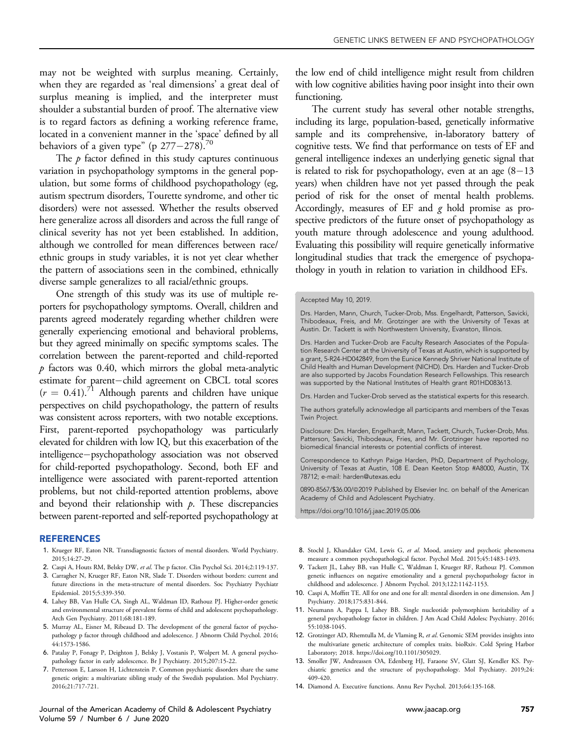may not be weighted with surplus meaning. Certainly, when they are regarded as 'real dimensions' a great deal of surplus meaning is implied, and the interpreter must shoulder a substantial burden of proof. The alternative view is to regard factors as defining a working reference frame, located in a convenient manner in the 'space' defined by all behaviors of a given type" (p  $277-278$ ).<sup>70</sup>

The  $p$  factor defined in this study captures continuous variation in psychopathology symptoms in the general population, but some forms of childhood psychopathology (eg, autism spectrum disorders, Tourette syndrome, and other tic disorders) were not assessed. Whether the results observed here generalize across all disorders and across the full range of clinical severity has not yet been established. In addition, although we controlled for mean differences between race/ ethnic groups in study variables, it is not yet clear whether the pattern of associations seen in the combined, ethnically diverse sample generalizes to all racial/ethnic groups.

One strength of this study was its use of multiple reporters for psychopathology symptoms. Overall, children and parents agreed moderately regarding whether children were generally experiencing emotional and behavioral problems, but they agreed minimally on specific symptoms scales. The correlation between the parent-reported and child-reported  $p$  factors was 0.40, which mirrors the global meta-analytic estimate for parent-child agreement on CBCL total scores  $(r = 0.41).$ <sup>71</sup> Although parents and children have unique perspectives on child psychopathology, the pattern of results was consistent across reporters, with two notable exceptions. First, parent-reported psychopathology was particularly elevated for children with low IQ, but this exacerbation of the intelligence-psychopathology association was not observed for child-reported psychopathology. Second, both EF and intelligence were associated with parent-reported attention problems, but not child-reported attention problems, above and beyond their relationship with  $p$ . These discrepancies between parent-reported and self-reported psychopathology at

#### REFERENCES

- <span id="page-8-0"></span>1. Krueger RF, Eaton NR. Transdiagnostic factors of mental disorders. World Psychiatry. 2015;14:27-29.
- <span id="page-8-1"></span>2. Caspi A, Houts RM, Belsky DW, et al. The p factor. Clin Psychol Sci. 2014;2:119-137.
- 3. Carragher N, Krueger RF, Eaton NR, Slade T. Disorders without borders: current and future directions in the meta-structure of mental disorders. Soc Psychiatry Psychiatr Epidemiol. 2015;5:339-350.
- <span id="page-8-2"></span>4. Lahey BB, Van Hulle CA, Singh AL, Waldman ID, Rathouz PJ. Higher-order genetic and environmental structure of prevalent forms of child and adolescent psychopathology. Arch Gen Psychiatry. 2011;68:181-189.
- 5. Murray AL, Eisner M, Ribeaud D. The development of the general factor of psychopathology p factor through childhood and adolescence. J Abnorm Child Psychol. 2016; 44:1573-1586.
- 6. Patalay P, Fonagy P, Deighton J, Belsky J, Vostanis P, Wolpert M. A general psychopathology factor in early adolescence. Br J Psychiatry. 2015;207:15-22.
- 7. Pettersson E, Larsson H, Lichtenstein P. Common psychiatric disorders share the same genetic origin: a multivariate sibling study of the Swedish population. Mol Psychiatry. 2016;21:717-721.

Journal of the American Academy of Child & Adolescent Psychiatry [www.jaacap.org](http://www.jaacap.org) 757 Volume 59 / Number 6 / June 2020

the low end of child intelligence might result from children with low cognitive abilities having poor insight into their own functioning.

The current study has several other notable strengths, including its large, population-based, genetically informative sample and its comprehensive, in-laboratory battery of cognitive tests. We find that performance on tests of EF and general intelligence indexes an underlying genetic signal that is related to risk for psychopathology, even at an age  $(8-13)$ years) when children have not yet passed through the peak period of risk for the onset of mental health problems. Accordingly, measures of EF and  $g$  hold promise as prospective predictors of the future onset of psychopathology as youth mature through adolescence and young adulthood. Evaluating this possibility will require genetically informative longitudinal studies that track the emergence of psychopathology in youth in relation to variation in childhood EFs.

Drs. Harden, Mann, Church, Tucker-Drob, Mss. Engelhardt, Patterson, Savicki, Thibodeaux, Freis, and Mr. Grotzinger are with the University of Texas at Austin. Dr. Tackett is with Northwestern University, Evanston, Illinois.

Drs. Harden and Tucker-Drob are Faculty Research Associates of the Population Research Center at the University of Texas at Austin, which is supported by a grant, 5-R24-HD042849, from the Eunice Kennedy Shriver National Institute of Child Health and Human Development (NICHD). Drs. Harden and Tucker-Drob are also supported by Jacobs Foundation Research Fellowships. This research was supported by the National Institutes of Health grant R01HD083613.

Drs. Harden and Tucker-Drob served as the statistical experts for this research.

The authors gratefully acknowledge all participants and members of the Texas Twin Project.

Disclosure: Drs. Harden, Engelhardt, Mann, Tackett, Church, Tucker-Drob, Mss. Patterson, Savicki, Thibodeaux, Fries, and Mr. Grotzinger have reported no biomedical financial interests or potential conflicts of interest.

Correspondence to Kathryn Paige Harden, PhD, Department of Psychology, University of Texas at Austin, 108 E. Dean Keeton Stop #A8000, Austin, TX 78712; e-mail: [harden@utexas.edu](mailto:harden@utexas.edu)

0890-8567/\$36.00/@2019 Published by Elsevier Inc. on behalf of the American Academy of Child and Adolescent Psychiatry.

<https://doi.org/10.1016/j.jaac.2019.05.006>

- 8. Stochl J, Khandaker GM, Lewis G, et al. Mood, anxiety and psychotic phenomena measure a common psychopathological factor. Psychol Med. 2015;45:1483-1493.
- 9. Tackett JL, Lahey BB, van Hulle C, Waldman I, Krueger RF, Rathouz PJ. Common genetic influences on negative emotionality and a general psychopathology factor in childhood and adolescence. J Abnorm Psychol. 2013;122:1142-1153.
- 10. Caspi A, Moffitt TE. All for one and one for all: mental disorders in one dimension. Am J Psychiatry. 2018;175:831-844.
- 11. Neumann A, Pappa I, Lahey BB. Single nucleotide polymorphism heritability of a general psychopathology factor in children. J Am Acad Child Adolesc Psychiatry. 2016; 55:1038-1045.
- 12. Grotzinger AD, Rhemtulla M, de Vlaming R, et al. Genomic SEM provides insights into the multivariate genetic architecture of complex traits. bioRxiv. Cold Spring Harbor Laboratory; 2018. [https://doi.org/10.1101/305029.](https://doi.org/10.1101/305029)
- 13. Smoller JW, Andreassen OA, Edenberg HJ, Faraone SV, Glatt SJ, Kendler KS. Psychiatric genetics and the structure of psychopathology. Mol Psychiatry. 2019;24: 409-420.
- <span id="page-8-3"></span>14. Diamond A. Executive functions. Annu Rev Psychol. 2013;64:135-168.

Accepted May 10, 2019.